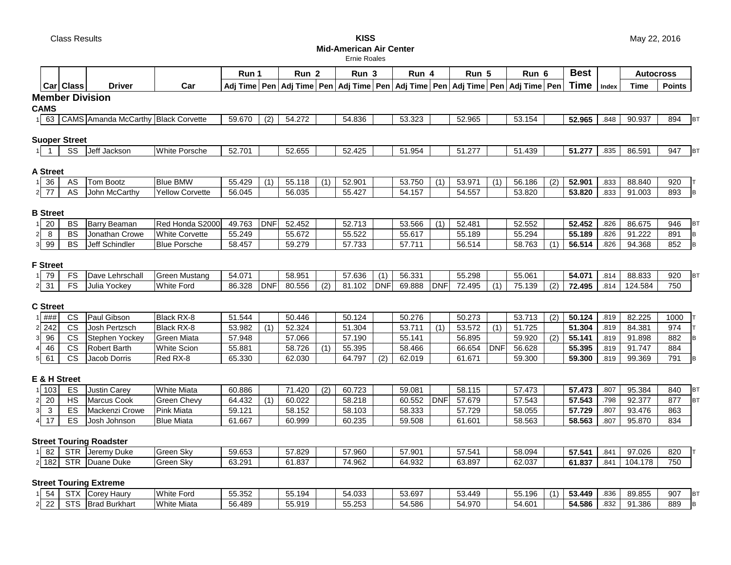**Mid-American Air Center**

Ernie Roales

|                             |                        |                                                   |                                              | Run 1            |            | Run <sub>2</sub> |     | Run 3                                                                                               |            | Run 4            |            | Run 5            |             | Run 6            |     | <b>Best</b>      |              | <b>Autocross</b> |               |           |
|-----------------------------|------------------------|---------------------------------------------------|----------------------------------------------|------------------|------------|------------------|-----|-----------------------------------------------------------------------------------------------------|------------|------------------|------------|------------------|-------------|------------------|-----|------------------|--------------|------------------|---------------|-----------|
|                             | <b>Car Class</b>       | <b>Driver</b>                                     | Car                                          |                  |            |                  |     | Adj Time   Pen   Adj Time   Pen   Adj Time   Pen   Adj Time   Pen   Adj Time   Pen   Adj Time   Pen |            |                  |            |                  |             |                  |     | Time             | Index        | <b>Time</b>      | <b>Points</b> |           |
|                             |                        | <b>Member Division</b>                            |                                              |                  |            |                  |     |                                                                                                     |            |                  |            |                  |             |                  |     |                  |              |                  |               |           |
| <b>CAMS</b>                 |                        |                                                   |                                              |                  |            |                  |     |                                                                                                     |            |                  |            |                  |             |                  |     |                  |              |                  |               |           |
|                             |                        | 1 63   CAMS Amanda McCarthy Black Corvette        |                                              | 59.670           | (2)        | 54.272           |     | 54.836                                                                                              |            | 53.323           |            | 52.965           |             | 53.154           |     | 52.965           | .848         | 90.937           | 894           | <b>BT</b> |
|                             |                        |                                                   |                                              |                  |            |                  |     |                                                                                                     |            |                  |            |                  |             |                  |     |                  |              |                  |               |           |
| <b>Suoper Street</b>        |                        |                                                   |                                              |                  |            |                  |     |                                                                                                     |            |                  |            |                  |             |                  |     |                  |              |                  |               |           |
|                             | SS                     | Jeff Jackson                                      | <b>White Porsche</b>                         | 52.701           |            | 52.655           |     | 52.425                                                                                              |            | 51.954           |            | 51.277           |             | 51.439           |     | 51.277           | .835         | 86.591           | 947           | BT        |
|                             |                        |                                                   |                                              |                  |            |                  |     |                                                                                                     |            |                  |            |                  |             |                  |     |                  |              |                  |               |           |
| <b>A Street</b>             |                        |                                                   |                                              |                  |            |                  |     |                                                                                                     |            |                  |            |                  |             |                  |     |                  |              |                  |               |           |
| 36<br>11                    | AS                     | <b>Tom Bootz</b>                                  | <b>Blue BMW</b>                              | 55.429           | (1)        | 55.118           | (1) | 52.901                                                                                              |            | 53.750           | (1)        | 53.971           | (1)         | 56.186           | (2) | 52.901           | .833         | 88.840           | 920           | т         |
| 77<br>$\mathbf{2}$          | AS                     | John McCarthy                                     | <b>Yellow Corvette</b>                       | 56.045           |            | 56.035           |     | 55.427                                                                                              |            | 54.157           |            | 54.557           |             | 53.820           |     | 53.820           | .833         | 91.003           | 893           | B         |
|                             |                        |                                                   |                                              |                  |            |                  |     |                                                                                                     |            |                  |            |                  |             |                  |     |                  |              |                  |               |           |
| <b>B</b> Street             |                        |                                                   |                                              |                  | <b>DNF</b> |                  |     |                                                                                                     |            |                  |            |                  |             |                  |     |                  |              |                  |               |           |
| 20                          | <b>BS</b><br><b>BS</b> | <b>Barry Beaman</b>                               | Red Honda S2000                              | 49.763           |            | 52.452           |     | 52.713                                                                                              |            | 53.566           | (1)        | 52.481           |             | 52.552           |     | 52.452           | .826<br>.826 | 86.675<br>91.222 | 946           | BT        |
| 8<br>$\mathbf{2}$<br>99     | <b>BS</b>              | Jonathan Crowe<br>Jeff Schindler                  | <b>White Corvette</b><br><b>Blue Porsche</b> | 55.249<br>58.457 |            | 55.672<br>59.279 |     | 55.522<br>57.733                                                                                    |            | 55.617<br>57.711 |            | 55.189<br>56.514 |             | 55.294<br>58.763 |     | 55.189<br>56.514 | .826         | 94.368           | 891<br>852    | B         |
| 3                           |                        |                                                   |                                              |                  |            |                  |     |                                                                                                     |            |                  |            |                  |             |                  |     |                  |              |                  |               | B         |
| <b>F</b> Street             |                        |                                                   |                                              |                  |            |                  |     |                                                                                                     |            |                  |            |                  |             |                  |     |                  |              |                  |               |           |
| 79                          | <b>FS</b>              | Dave Lehrschall                                   | <b>Green Mustang</b>                         | 54.071           |            | 58.951           |     | 57.636                                                                                              | (1)        | 56.331           |            | 55.298           |             | 55.061           |     | 54.071           | .814         | 88.833           | 920           | BT        |
| $2$ 31                      | <b>FS</b>              | Julia Yockey                                      | <b>White Ford</b>                            | 86.328           | <b>DNF</b> | 80.556           | (2) | 81.102                                                                                              | <b>DNF</b> | 69.888           | <b>DNF</b> | 72.495           |             | 75.139           | (2) | 72.495           | .814         | 124.584          | 750           |           |
|                             |                        |                                                   |                                              |                  |            |                  |     |                                                                                                     |            |                  |            |                  |             |                  |     |                  |              |                  |               |           |
| <b>C</b> Street             |                        |                                                   |                                              |                  |            |                  |     |                                                                                                     |            |                  |            |                  |             |                  |     |                  |              |                  |               |           |
| $1$ ###                     | <b>CS</b>              | Paul Gibson                                       | <b>Black RX-8</b>                            | 51.544           |            | 50.446           |     | 50.124                                                                                              |            | 50.276           |            | 50.273           |             | 53.713           | (2) | 50.124           | .819         | 82.225           | 1000          | т         |
| $2$ 242                     | <b>CS</b>              | Josh Pertzsch                                     | <b>Black RX-8</b>                            | 53.982           | (1)        | 52.324           |     | 51.304                                                                                              |            | 53.711           | (1)        | 53.572           | (1)         | 51.725           |     | 51.304           | .819         | 84.381           | 974           |           |
| 96<br>3                     | <b>CS</b>              | Stephen Yockey                                    | <b>Green Miata</b>                           | 57.948           |            | 57.066           |     | 57.190                                                                                              |            | 55.141           |            | 56.895           |             | 59.920           | (2) | 55.141           | .819         | 91.898           | 882           | В         |
| 46<br>4 <sub>l</sub>        | <b>CS</b>              | <b>Robert Barth</b>                               | <b>White Scion</b>                           | 55.881           |            | 58.726           | (1) | 55.395                                                                                              |            | 58.466           |            | 66.654           | <b>IDNF</b> | 56.628           |     | 55.395           | .819         | 91.747           | 884           |           |
| 61<br>5                     | <b>CS</b>              | Jacob Dorris                                      | Red RX-8                                     | 65.330           |            | 62.030           |     | 64.797                                                                                              | (2)        | 62.019           |            | 61.671           |             | 59.300           |     | 59.300           | .819         | 99.369           | 791           | IB.       |
|                             |                        |                                                   |                                              |                  |            |                  |     |                                                                                                     |            |                  |            |                  |             |                  |     |                  |              |                  |               |           |
| E & H Street                |                        |                                                   |                                              |                  |            |                  |     |                                                                                                     |            |                  |            |                  |             |                  |     |                  |              |                  |               |           |
| 1 103                       | ES                     | <b>Justin Carey</b>                               | <b>White Miata</b>                           | 60.886           |            | 71.420           | (2) | 60.723                                                                                              |            | 59.081           |            | 58.115           |             | 57.473           |     | 57.473           | .807         | 95.384           | 840           | BT        |
| $2\vert$<br>20              | <b>HS</b>              | <b>Marcus Cook</b>                                | <b>Green Chevy</b>                           | 64.432           | (1)        | 60.022           |     | 58.218                                                                                              |            | 60.552           | <b>DNF</b> | 57.679           |             | 57.543           |     | 57.543           | .798         | 92.377           | 877           | BT        |
| $\mathbf{3}$<br>$3\vert$    | ES                     | Mackenzi Crowe                                    | Pink Miata                                   | 59.121           |            | 58.152           |     | 58.103                                                                                              |            | 58.333           |            | 57.729           |             | 58.055           |     | 57.729           | .807         | 93.476           | 863           |           |
| 17<br>4                     | ES                     | Josh Johnson                                      | <b>Blue Miata</b>                            | 61.667           |            | 60.999           |     | 60.235                                                                                              |            | 59.508           |            | 61.601           |             | 58.563           |     | 58.563           | .807         | 95.870           | 834           |           |
|                             |                        |                                                   |                                              |                  |            |                  |     |                                                                                                     |            |                  |            |                  |             |                  |     |                  |              |                  |               |           |
|                             |                        | <b>Street Touring Roadster</b><br>STR Jeremy Duke | <b>Green Sky</b>                             |                  |            |                  |     |                                                                                                     |            |                  |            |                  |             |                  |     | 57.541           | .841         | 97.026           | 820           |           |
| $1 \vert 82 \vert$<br>2 182 |                        | STR Duane Duke                                    | <b>Green Sky</b>                             | 59.653<br>63.291 |            | 57.829<br>61.837 |     | 57.960<br>74.962                                                                                    |            | 57.901<br>64.932 |            | 57.541<br>63.897 |             | 58.094<br>62.037 |     | 61.837           | .841         | 104.178          | 750           | IТ.       |
|                             |                        |                                                   |                                              |                  |            |                  |     |                                                                                                     |            |                  |            |                  |             |                  |     |                  |              |                  |               |           |
|                             |                        | <b>Street Touring Extreme</b>                     |                                              |                  |            |                  |     |                                                                                                     |            |                  |            |                  |             |                  |     |                  |              |                  |               |           |
| $1 \overline{54}$           |                        | STX Corey Haury                                   | <b>White Ford</b>                            | 55.352           |            | 55.194           |     | 54.033                                                                                              |            | 53.697           |            | 53.449           |             | 55.196           | (1) | 53.449           | .836         | 89.855           | 907           | BT        |
| 22<br>$2\vert$              |                        | STS Brad Burkhart                                 | <b>White Miata</b>                           | 56.489           |            | 55.919           |     | 55.253                                                                                              |            | 54.586           |            | 54.970           |             | 54.601           |     | 54.586           | .832         | 91.386           | 889           | B.        |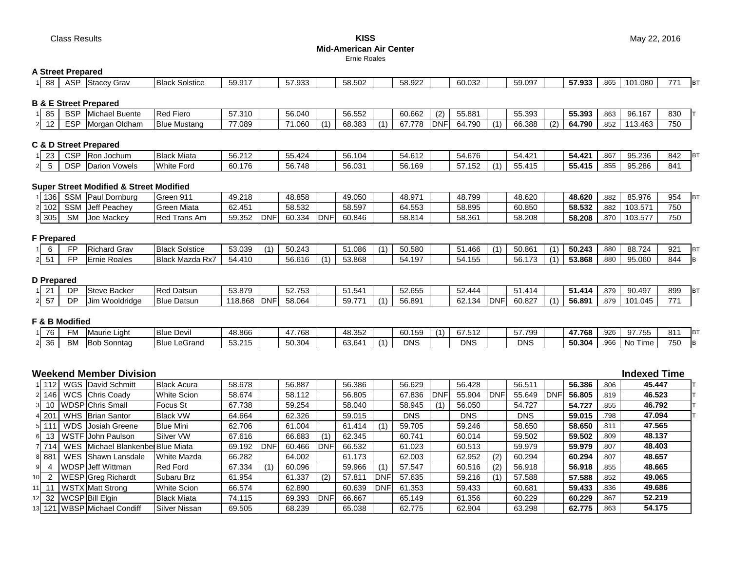Class Results **KISS Mid-American Air Center** Ernie Roales

#### **A Street Prepared**

|  | ' 88 | $\triangle$ $\subseteq$ $\Gamma$<br>וטח | Stacey Grav | <b>Black</b><br>Solstice | $\sim$ $\sim$ $-$<br>FQQ<br>$\cup$ . $\cup$ . |  | 57.933 |  | 58.502 |  | 58.922 |  | 60.032 |  | 50 007<br>ົບອ.ບອາ |  | 57.933 | .865 | റാറ<br>1()<br>UOU. I | 774 |  |
|--|------|-----------------------------------------|-------------|--------------------------|-----------------------------------------------|--|--------|--|--------|--|--------|--|--------|--|-------------------|--|--------|------|----------------------|-----|--|
|--|------|-----------------------------------------|-------------|--------------------------|-----------------------------------------------|--|--------|--|--------|--|--------|--|--------|--|-------------------|--|--------|------|----------------------|-----|--|

### **B & E Street Prepared**

| 85                 | <b>BSF</b> | Michael<br>$P_{11}$<br>⊦ Due⊓t | <b>IRea</b><br><b>Fiero</b> | <b>57.310</b> | 56.040 |           | $F^{\alpha}$ $F^{\alpha}$<br>56.552 |                | 60.662 | (2)         | 55.881 | 55.393 |        | $F = 0.00$<br>55.393          | .863 | 96.167                  | 830 |
|--------------------|------------|--------------------------------|-----------------------------|---------------|--------|-----------|-------------------------------------|----------------|--------|-------------|--------|--------|--------|-------------------------------|------|-------------------------|-----|
| $\sqrt{2}$<br>I Z. | <b>ESF</b> | Oldham<br>Morgan               | <b>Blue Mustang</b>         | 0.089         | 71.060 | $\lambda$ | <b>68383</b><br>n.<br>ں ں           | $\overline{A}$ | 67 778 | <b>IDNF</b> | 64.790 | 66.388 | $\sim$ | 0.1700<br>791<br><b>04.75</b> | .852 | .463<br>$\overline{11}$ | 750 |

## **C & D Street Prepared**

|    | co.<br>້ | $\sim$<br>╰╰└<br>יש י | <b>IRor</b><br>Jochum           | Miata<br><b>Black</b> | 56.212     | ა5.424             | 56.104 | 54.612 | $C_A C7C$<br>54.6/      | $\Lambda$ $\Omega$<br>54.42° | 54.42  | $\sim$<br>ု ၀၀ | 95.236<br>$\mathbf{u}$ | 842 | <b>IBT</b> |
|----|----------|-----------------------|---------------------------------|-----------------------|------------|--------------------|--------|--------|-------------------------|------------------------------|--------|----------------|------------------------|-----|------------|
| οL |          | n n<br>שצו<br>vv.     | . .<br>Vowels<br><b>IDarion</b> | White Ford            | 176<br>60. | 5.748<br>~~<br>JU. | 56.031 | 56.169 | $    -$<br>. 152<br>-37 | --<br>11F<br>ιv<br>JJ.       | 55.415 | .855           | 95.286                 | 841 |            |

#### **Super Street Modified & Street Modified**

| 136     | <b>SSM</b> | <b>IPaul</b><br>Dornburg | Green 911             | 49.218 |            | 48.858 |            | 49.050 | 48.971 | 48.799 | 48.620 | 48.620 | .882              | 85.976  | 954 |  |
|---------|------------|--------------------------|-----------------------|--------|------------|--------|------------|--------|--------|--------|--------|--------|-------------------|---------|-----|--|
| $-1102$ | <b>SSM</b> | Jeff Peachey             | Miata<br><b>Greer</b> | 62.451 |            | 58.532 |            | 58.597 | 64.553 | 58.895 | 60.850 | 58.532 | .882              | 103.571 | 750 |  |
| 8 305   | <b>SM</b>  | <b>Mackey</b><br>IJO6    | Red<br>Trans Am       | 59.352 | <b>DNF</b> | 60.334 | <b>DNF</b> | 60.846 | 58.814 | 58.36  | 58.208 | 58.208 | <b>07</b><br>.87F | 103.577 | 750 |  |

#### **F Prepared**

|  | -- | Grav<br><b>Richard</b> | <b>Black</b><br>: Solstice                                                     | 53.039             | 50.243 | 51.086 | $\binom{1}{1}$ | 50.580 | 10 <sup>2</sup><br>.46t | $\sim$ | 50.861 | 50.243 | .88 <sub>C</sub> | 88.724 | 92 <sup>1</sup> | <b>IBT</b> |
|--|----|------------------------|--------------------------------------------------------------------------------|--------------------|--------|--------|----------------|--------|-------------------------|--------|--------|--------|------------------|--------|-----------------|------------|
|  |    | Roales<br>`-rnie .     | <b>Blac</b><br>Mazda<br>. wv<br>$\cdot$ in the set of $\overline{\phantom{a}}$ | 11 N<br>54.4<br>ιv | 56.616 | 53.868 |                | 54.197 | 455<br>IJЧ<br>1 J J     |        | 56.    | 53.868 | .88C             | 95.060 | 844             | IR         |

#### **D Prepared**

|                 | <b>DP</b> | . مµەtc<br><b>Steve Backer</b> | <b>Red Datsun</b>     | 53.879  |             | 52752<br><b>JL.IJ</b> | 51.541 | $F \cap F F$<br>JZ.655 | $\sim$ $\sim$ $\sim$ $\sim$<br>JZ.44. |            | $-4$<br>414 |     | 1.414ه | .879 | 90.497  | 899 | <b>B</b> T |
|-----------------|-----------|--------------------------------|-----------------------|---------|-------------|-----------------------|--------|------------------------|---------------------------------------|------------|-------------|-----|--------|------|---------|-----|------------|
| __<br><u>ວ/</u> | <b>DP</b> | Wooldridge<br>וטו              | <b>Blue</b><br>Datsun | 118.868 | <b>IDNF</b> | 58.064                | 59.77' | 56.891                 | 62.134<br>ΟZ<br>ֿ שי                  | <b>DNF</b> | $60.82^{-}$ | (1) | 56.891 | .879 | 101.045 | 771 |            |

#### **F & B Modified**

|    | $\overline{z}$<br>. | ∸IVI      | .<br>rie Light<br>nviat | <b>Blue Devil</b>      | 48.866                                             | 17 768          | 48.352 | 60.159     | $\overline{A}$ | $\sim$ $\sim$ $\sim$ $\sim$<br>O L<br>. J . Z | 57.799<br>. | 47.768 | .926 | 07755<br>.               | $Q_1$<br>01 | <b>IBT</b> |
|----|---------------------|-----------|-------------------------|------------------------|----------------------------------------------------|-----------------|--------|------------|----------------|-----------------------------------------------|-------------|--------|------|--------------------------|-------------|------------|
| 21 | - 36                | <b>BM</b> | <b>IBot</b><br>Sonntag  | <b>Blue</b><br>LeGrand | $F^{\alpha}$ $\Omega F$<br>$\cdots$<br>ے.ں ب<br>⊥∪ | 50.304<br>OU.JU | 63.641 | <b>DNS</b> |                | <b>DNS</b>                                    | <b>DNS</b>  | 50.304 | .966 | $-$<br>l Ni<br>Fime<br>. | 750         | ם ו        |

# **Weekend Member Division Indexed Time**

|      | 1   112 | WGS David Schmitt                | <b>Black Acura</b>   | 58.678 |            | 56.887 |             | 56.386 |            | 56.629     |            | 56.428     |            | 56.511     |            | 56.386 | .806 | 45.447 |
|------|---------|----------------------------------|----------------------|--------|------------|--------|-------------|--------|------------|------------|------------|------------|------------|------------|------------|--------|------|--------|
|      | 2 146   | WCS Chris Coady                  | <b>White Scion</b>   | 58.674 |            | 58.112 |             | 56.805 |            | 67.836     | <b>DNF</b> | 55.904     | <b>DNF</b> | 55.649     | <b>DNF</b> | 56.805 | .819 | 46.523 |
|      | 10      | <b>WDSP</b> Chris Small          | <b>Focus St</b>      | 67.738 |            | 59.254 |             | 58.040 |            | 58.945     |            | 56.050     |            | 54.727     |            | 54.727 | .855 | 46.792 |
|      | 4 201   | WHS Brian Santor                 | <b>Black VW</b>      | 64.664 |            | 62.326 |             | 59.015 |            | <b>DNS</b> |            | <b>DNS</b> |            | <b>DNS</b> |            | 59.015 | .798 | 47.094 |
|      |         | <b>WDS</b> Josiah Greene         | <b>Blue Mini</b>     | 62.706 |            | 61.004 |             | 61.414 | (1)        | 59.705     |            | 59.246     |            | 58.650     |            | 58.650 | .811 | 47.565 |
|      | $6$ 13  | WSTF John Paulson                | Silver VW            | 67.616 |            | 66.683 |             | 62.345 |            | 60.741     |            | 60.014     |            | 59.502     |            | 59.502 | .809 | 48.137 |
|      | 7 714   | WES Michael BlankenberBlue Miata |                      | 69.192 | <b>DNF</b> | 60.466 | <b>IDNF</b> | 66.532 |            | 61.023     |            | 60.513     |            | 59.979     |            | 59.979 | .807 | 48.403 |
|      | 8 8 8 1 | WES Shawn Lansdale               | <b>White Mazda</b>   | 66.282 |            | 64.002 |             | 61.173 |            | 62.003     |            | 62.952     | (2)        | 60.294     |            | 60.294 | .807 | 48.657 |
| 91   |         | WDSP Jeff Wittman                | <b>Red Ford</b>      | 67.334 |            | 60.096 |             | 59.966 |            | 57.547     |            | 60.516     | (2)        | 56.918     |            | 56.918 | .855 | 48.665 |
| 10 I |         | <b>WESP</b> Greg Richardt        | Subaru Brz           | 61.954 |            | 61.337 | (2)         | 57.811 | DNF        | 57.635     |            | 59.216     | (1)        | 57.588     |            | 57.588 | .852 | 49.065 |
|      |         | 11   WSTX Matt Strong            | <b>White Scion</b>   | 66.574 |            | 62.890 |             | 60.639 | <b>DNF</b> | 61.353     |            | 59.433     |            | 60.681     |            | 59.433 | .836 | 49.686 |
|      |         | 12 32   WCSP Bill Elgin          | <b>Black Miata</b>   | 74.115 |            | 69.393 | <b>IDNF</b> | 66.667 |            | 65.149     |            | 61.356     |            | 60.229     |            | 60.229 | .867 | 52.219 |
|      |         | 13 121   WBSP Michael Condiff    | <b>Silver Nissan</b> | 69.505 |            | 68.239 |             | 65.038 |            | 62.775     |            | 62.904     |            | 63.298     |            | 62.775 | .863 | 54.175 |